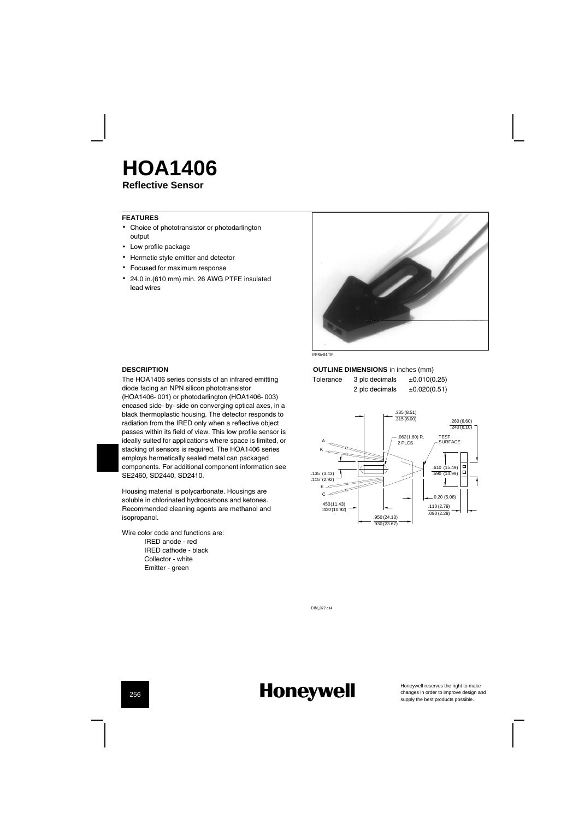## **Reflective Sensor HOA1406**

#### **FEATURES**

- Choice of phototransistor or photodarlington output
- Low profile package
- Hermetic style emitter and detector
- Focused for maximum response
- 24.0 in.(610 mm) min. 26 AWG PTFE insulated lead wires



IN RAITIE

#### **DESCRIPTION**

The HOA1406 series consists of an infrared emitting diode facing an NPN silicon phototransistor (HOA1406-001) or photodarlington (HOA1406-003) encased side-by-side on converging optical axes, in a black thermoplastic housing. The detector responds to radiation from the IRED only when a reflective object passes within its field of view. This low profile sensor is ideally suited for applications where space is limited, or stacking of sensors is required. The HOA1406 series employs hermetically sealed metal can packaged components. For additional component information see SE2460, SD2440, SD2410.

Housing material is polycarbonate. Housings are soluble in chlorinated hydrocarbons and ketones. Recommended cleaning agents are methanol and isopropanol.

Wire color code and functions are: IRED anode - red IRED cathode - black Collector - white Emitter - green

## **OUTLINE DIMENSIONS** in inches (mm)

Tolerance  $3$  plc decimals  $\pm 0.010(0.25)$ 2 plc decimals  $\pm 0.020(0.51)$ 



DIM\_072.ds4

## **Honeywell**

Honeywell reserves the right to make<br>changes in order to improve design and<br>supply the best products possible.

256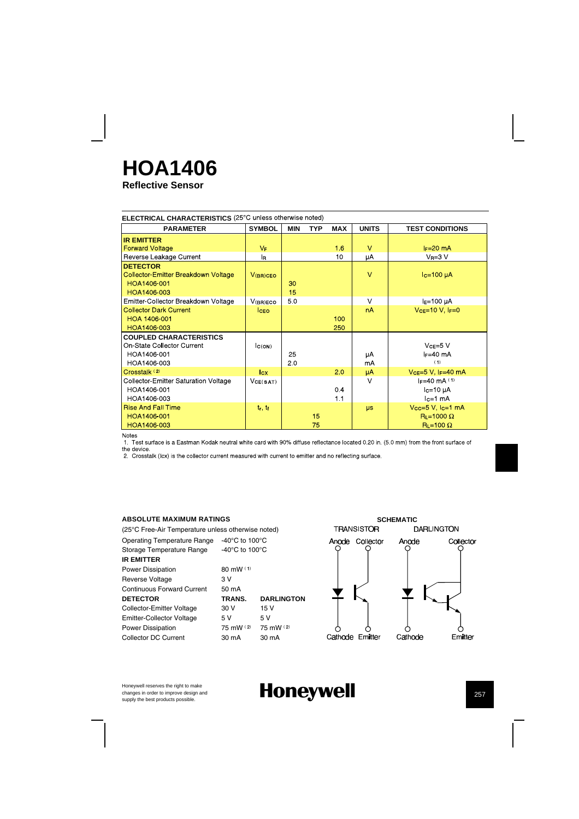# **HOA1406**

**Reflective Sensor**

| ELECTRICAL CHARACTERISTICS (25°C unless otherwise noted)                                   |                 |            |            |            |              |                                                                      |
|--------------------------------------------------------------------------------------------|-----------------|------------|------------|------------|--------------|----------------------------------------------------------------------|
| <b>PARAMETER</b>                                                                           | <b>SYMBOL</b>   | <b>MIN</b> | <b>TYP</b> | <b>MAX</b> | <b>UNITS</b> | <b>TEST CONDITIONS</b>                                               |
| <b>IR EMITTER</b>                                                                          |                 |            |            |            |              |                                                                      |
| <b>Forward Voltage</b>                                                                     | $V_F$           |            |            | 16         | $\vee$       | $I_F=20$ mA                                                          |
| Reverse Leakage Current                                                                    | l <sub>R</sub>  |            |            | 10         | μA           | $V_R = 3 V$                                                          |
| <b>DETECTOR</b><br>Collector-Emitter Breakdown Voltage<br>HOA1406-001<br>HOA1406-003       | $V(BR)$ CEO     | 30<br>15   |            |            | $\vee$       | $Ic=100 \mu A$                                                       |
| Emitter Collector Breakdown Voltage                                                        | V(BR)ECO        | 50         |            |            | $\vee$       | $IE=100 \mu A$                                                       |
| <b>Collector Dark Current</b><br>HOA 1406-001<br>HOA1406-003                               | <b>ICEO</b>     |            |            | 100<br>250 | nA           | $Vce=10 V$ , $F=0$                                                   |
| <b>COUPLED CHARACTERISTICS</b><br>On State Collector Current<br>HOA1406-001<br>HOA1406-003 | C(ON)           | 25<br>20   |            |            | μA<br>mA     | $VCE=5$ V<br>$F=40$ mA<br>(1)                                        |
| Crosstalk (2)                                                                              | I <sub>cx</sub> |            |            | 20         | μA           | $Vce=5 V, IF=40 mA$                                                  |
| <b>Collector-Emitter Saturation Voltage</b><br>HOA1406-001<br>HOA1406-003                  | VCE(SAT)        |            |            | 0.4<br>1.1 | $\vee$       | $F = 40$ mA $(1)$<br>$lc=10 \mu A$<br>$lc=1$ mA                      |
| <b>Rise And Fall Time</b><br>HOA1406-001<br>HOA1406-003                                    | $t_r$ , $t_f$   |            | 15<br>75   |            | <b>us</b>    | $Vcc=5$ V, $lc=1$ mA<br>$R_L = 1000 \Omega$<br>$R_{L}$ =100 $\Omega$ |

Notes

. . . . . .<br>1. Test surface is a Eastman Kodak neutral white card with 90% diffuse reflectance located 0.20 in. (5.0 mm) from the front surface of the device.<br>
2. Crosstalk (lcx) is the collector current measured with current to emitter and no reflecting surface.

### **ABSOLUTE MAXIMUM RATINGS**

(25¡C Free-Air Temperature unless otherwise noted) Operating Temperature Range -40°C to 100°C Storage Temperature Range -40°C to 100°C **IR EMITTER** Power Dissipation 80 mW (1)<br>Reverse Voltage 3 V Reverse Voltage Continuous Forward Current 50 mA<br>DETECTOR TRANS. Collector-Emitter Voltage 30 V 15 V<br>Emitter-Collector Voltage 5 V 5 V Emitter-Collector Voltage 5V 5V<br>Power Dissipation 75 mW (2) 75 mW (2) Power Dissipation Collector DC Current 30 mA 30 mA

# **DARLINGTON**



Honeywell reserves the right to make changes in order to improve design and<br>supply the best products possible.

## **Honeywell h** 257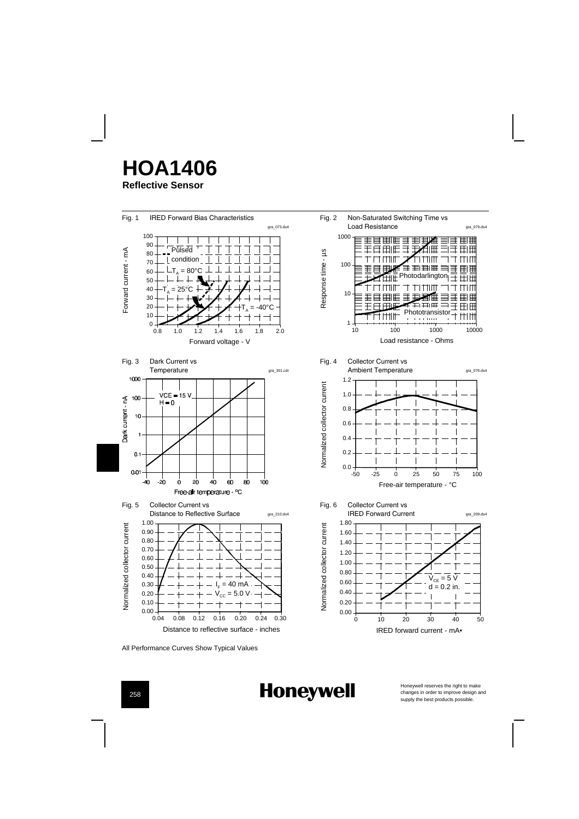



**Honeywell** 



Honeywell reserves the right to make<br>changes in order to improve design and<br>supply the best products possible.

258